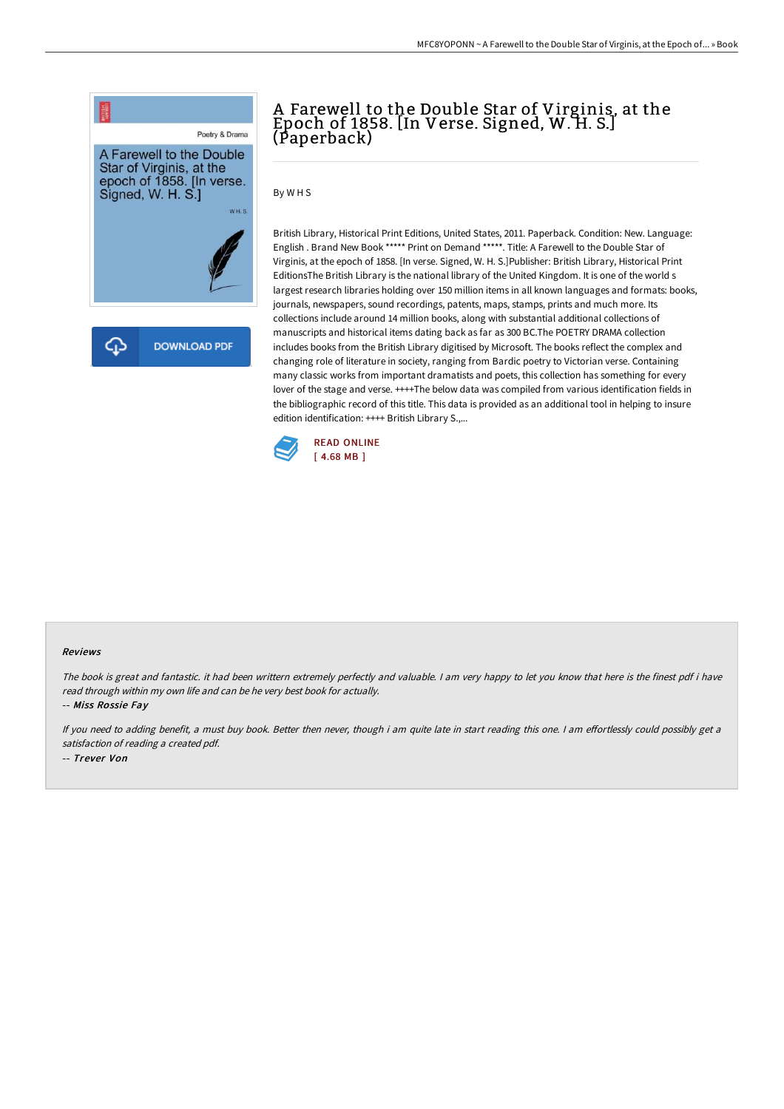

# A Farewell to the Double Star of Virginis, at the Epoch of 1858. [In Verse. Signed, W. H. S.] (Paperback)

By W H S

British Library, Historical Print Editions, United States, 2011. Paperback. Condition: New. Language: English . Brand New Book \*\*\*\*\* Print on Demand \*\*\*\*\*. Title: A Farewell to the Double Star of Virginis, at the epoch of 1858. [In verse. Signed, W. H. S.]Publisher: British Library, Historical Print EditionsThe British Library is the national library of the United Kingdom. It is one of the world s largest research libraries holding over 150 million items in all known languages and formats: books, journals, newspapers, sound recordings, patents, maps, stamps, prints and much more. Its collections include around 14 million books, along with substantial additional collections of manuscripts and historical items dating back as far as 300 BC.The POETRY DRAMA collection includes books from the British Library digitised by Microsoft. The books reflect the complex and changing role of literature in society, ranging from Bardic poetry to Victorian verse. Containing many classic works from important dramatists and poets, this collection has something for every lover of the stage and verse. ++++The below data was compiled from various identification fields in the bibliographic record of this title. This data is provided as an additional tool in helping to insure edition identification: ++++ British Library S.,...



#### Reviews

The book is great and fantastic. it had been writtern extremely perfectly and valuable. <sup>I</sup> am very happy to let you know that here is the finest pdf i have read through within my own life and can be he very best book for actually.

-- Miss Rossie Fay

If you need to adding benefit, a must buy book. Better then never, though i am quite late in start reading this one. I am effortlessly could possibly get a satisfaction of reading <sup>a</sup> created pdf. -- Trever Von